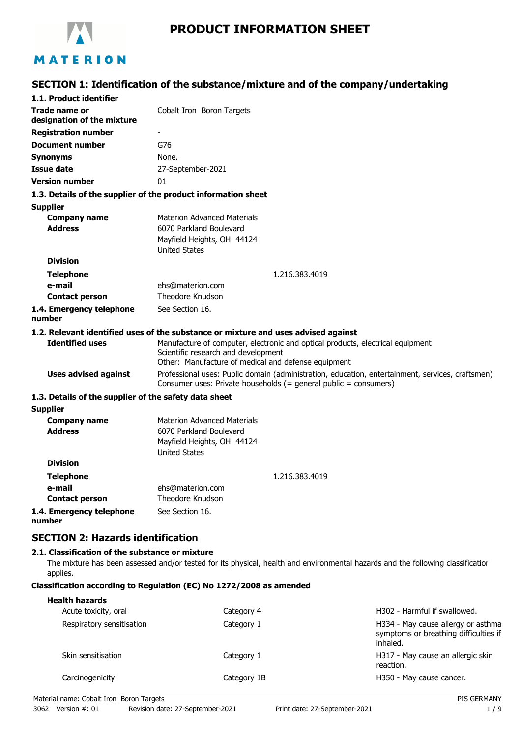

# **PRODUCT INFORMATION SHEET**

# **SECTION 1: Identification of the substance/mixture and of the company/undertaking**

| 1.1. Product identifier                               |                                                                                                                                                                        |  |
|-------------------------------------------------------|------------------------------------------------------------------------------------------------------------------------------------------------------------------------|--|
| Trade name or                                         | Cobalt Iron Boron Targets                                                                                                                                              |  |
| designation of the mixture                            |                                                                                                                                                                        |  |
| <b>Registration number</b>                            |                                                                                                                                                                        |  |
| <b>Document number</b>                                | G76                                                                                                                                                                    |  |
| <b>Synonyms</b>                                       | None.                                                                                                                                                                  |  |
| <b>Issue date</b>                                     | 27-September-2021                                                                                                                                                      |  |
| <b>Version number</b>                                 | 01                                                                                                                                                                     |  |
|                                                       | 1.3. Details of the supplier of the product information sheet                                                                                                          |  |
| <b>Supplier</b>                                       |                                                                                                                                                                        |  |
| <b>Company name</b>                                   | <b>Materion Advanced Materials</b>                                                                                                                                     |  |
| <b>Address</b>                                        | 6070 Parkland Boulevard                                                                                                                                                |  |
|                                                       | Mayfield Heights, OH 44124                                                                                                                                             |  |
|                                                       | <b>United States</b>                                                                                                                                                   |  |
| <b>Division</b>                                       |                                                                                                                                                                        |  |
| <b>Telephone</b>                                      | 1.216.383.4019                                                                                                                                                         |  |
| e-mail                                                | ehs@materion.com<br><b>Theodore Knudson</b>                                                                                                                            |  |
| <b>Contact person</b>                                 |                                                                                                                                                                        |  |
| 1.4. Emergency telephone<br>number                    | See Section 16.                                                                                                                                                        |  |
|                                                       | 1.2. Relevant identified uses of the substance or mixture and uses advised against                                                                                     |  |
| <b>Identified uses</b>                                | Manufacture of computer, electronic and optical products, electrical equipment                                                                                         |  |
|                                                       | Scientific research and development                                                                                                                                    |  |
|                                                       | Other: Manufacture of medical and defense equipment                                                                                                                    |  |
| <b>Uses advised against</b>                           | Professional uses: Public domain (administration, education, entertainment, services, craftsmen)<br>Consumer uses: Private households $(=$ general public = consumers) |  |
| 1.3. Details of the supplier of the safety data sheet |                                                                                                                                                                        |  |
| <b>Supplier</b>                                       |                                                                                                                                                                        |  |
| <b>Company name</b>                                   | <b>Materion Advanced Materials</b>                                                                                                                                     |  |
| <b>Address</b>                                        | 6070 Parkland Boulevard                                                                                                                                                |  |
|                                                       | Mayfield Heights, OH 44124                                                                                                                                             |  |
| <b>Division</b>                                       | <b>United States</b>                                                                                                                                                   |  |
|                                                       |                                                                                                                                                                        |  |
| <b>Telephone</b>                                      | 1.216.383.4019                                                                                                                                                         |  |
| e-mail<br><b>Contact person</b>                       | ehs@materion.com<br><b>Theodore Knudson</b>                                                                                                                            |  |
|                                                       | See Section 16.                                                                                                                                                        |  |
| 1.4. Emergency telephone<br>number                    |                                                                                                                                                                        |  |
| <b>SECTION 2: Hazards identification</b>              |                                                                                                                                                                        |  |
| 2.1. Classification of the substance or mixture       |                                                                                                                                                                        |  |

The mixture has been assessed and/or tested for its physical, health and environmental hazards and the following classification applies.

## **Classification according to Regulation (EC) No 1272/2008 as amended**

| <b>Health hazards</b><br>Acute toxicity, oral | Category 4  | H302 - Harmful if swallowed.                                                            |
|-----------------------------------------------|-------------|-----------------------------------------------------------------------------------------|
| Respiratory sensitisation                     | Category 1  | H334 - May cause allergy or asthma<br>symptoms or breathing difficulties if<br>inhaled. |
| Skin sensitisation                            | Category 1  | H317 - May cause an allergic skin<br>reaction.                                          |
| Carcinogenicity                               | Category 1B | H350 - May cause cancer.                                                                |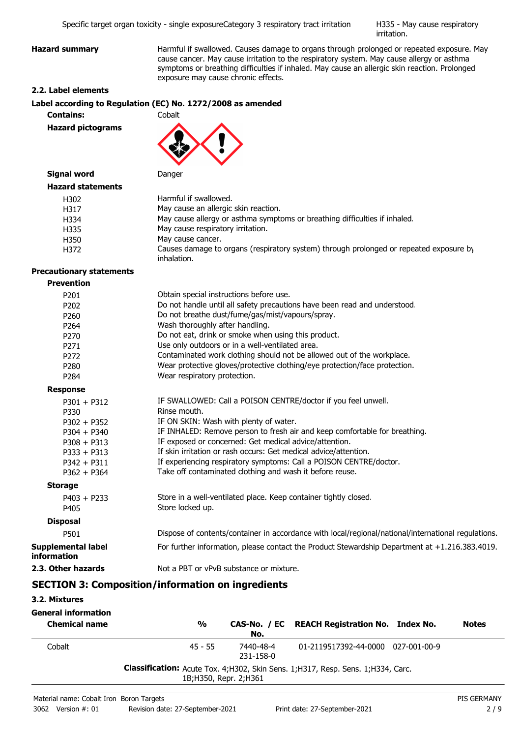H335 - May cause respiratory irritation.

**Hazard summary Harmful if swallowed. Causes damage to organs through prolonged or repeated exposure. May** cause cancer. May cause irritation to the respiratory system. May cause allergy or asthma symptoms or breathing difficulties if inhaled. May cause an allergic skin reaction. Prolonged exposure may cause chronic effects.

## **2.2. Label elements**

|                  | Label according to Regulation (EC) No. 1272/2008 as amended |
|------------------|-------------------------------------------------------------|
| <b>Contains:</b> | Cobalt                                                      |

**Hazard pictograms**



## **Signal word** Danger **Hazard statements**

| Harmful if swallowed.                                                                                 |
|-------------------------------------------------------------------------------------------------------|
| May cause an allergic skin reaction.                                                                  |
| May cause allergy or asthma symptoms or breathing difficulties if inhaled.                            |
| May cause respiratory irritation.                                                                     |
| May cause cancer.                                                                                     |
| Causes damage to organs (respiratory system) through prolonged or repeated exposure by<br>inhalation. |
|                                                                                                       |

#### **Precautionary statements**

| <b>Prevention</b>                 |                                                                                                     |
|-----------------------------------|-----------------------------------------------------------------------------------------------------|
| P201                              | Obtain special instructions before use.                                                             |
| P202                              | Do not handle until all safety precautions have been read and understood.                           |
| P260                              | Do not breathe dust/fume/gas/mist/vapours/spray.                                                    |
| P <sub>264</sub>                  | Wash thoroughly after handling.                                                                     |
| P270                              | Do not eat, drink or smoke when using this product.                                                 |
| P <sub>271</sub>                  | Use only outdoors or in a well-ventilated area.                                                     |
| P <sub>272</sub>                  | Contaminated work clothing should not be allowed out of the workplace.                              |
| P280                              | Wear protective gloves/protective clothing/eye protection/face protection.                          |
| P <sub>284</sub>                  | Wear respiratory protection.                                                                        |
| <b>Response</b>                   |                                                                                                     |
| $P301 + P312$                     | IF SWALLOWED: Call a POISON CENTRE/doctor if you feel unwell.                                       |
| P330                              | Rinse mouth.                                                                                        |
| $P302 + P352$                     | IF ON SKIN: Wash with plenty of water.                                                              |
| $P304 + P340$                     | IF INHALED: Remove person to fresh air and keep comfortable for breathing.                          |
| $P308 + P313$                     | IF exposed or concerned: Get medical advice/attention.                                              |
| $P333 + P313$                     | If skin irritation or rash occurs: Get medical advice/attention.                                    |
| $P342 + P311$                     | If experiencing respiratory symptoms: Call a POISON CENTRE/doctor.                                  |
| $P362 + P364$                     | Take off contaminated clothing and wash it before reuse.                                            |
| <b>Storage</b>                    |                                                                                                     |
| $P403 + P233$                     | Store in a well-ventilated place. Keep container tightly closed.                                    |
| P405                              | Store locked up.                                                                                    |
| <b>Disposal</b>                   |                                                                                                     |
| P501                              | Dispose of contents/container in accordance with local/regional/national/international regulations. |
| Supplemental label<br>information | For further information, please contact the Product Stewardship Department at +1.216.383.4019.      |
| 2.3. Other hazards                | Not a PBT or vPvB substance or mixture.                                                             |
|                                   |                                                                                                     |

# **SECTION 3: Composition/information on ingredients**

## **3.2. Mixtures**

| <b>General information</b><br><b>Chemical name</b> | $\frac{0}{0}$                                                                                              | No.                    | CAS-No. / EC REACH Registration No. Index No. | <b>Notes</b> |
|----------------------------------------------------|------------------------------------------------------------------------------------------------------------|------------------------|-----------------------------------------------|--------------|
| Cobalt                                             | $45 - 55$                                                                                                  | 7440-48-4<br>231-158-0 | 01-2119517392-44-0000 027-001-00-9            |              |
|                                                    | Classification: Acute Tox. 4;H302, Skin Sens. 1;H317, Resp. Sens. 1;H334, Carc.<br>1B; H350, Repr. 2; H361 |                        |                                               |              |
|                                                    |                                                                                                            |                        |                                               |              |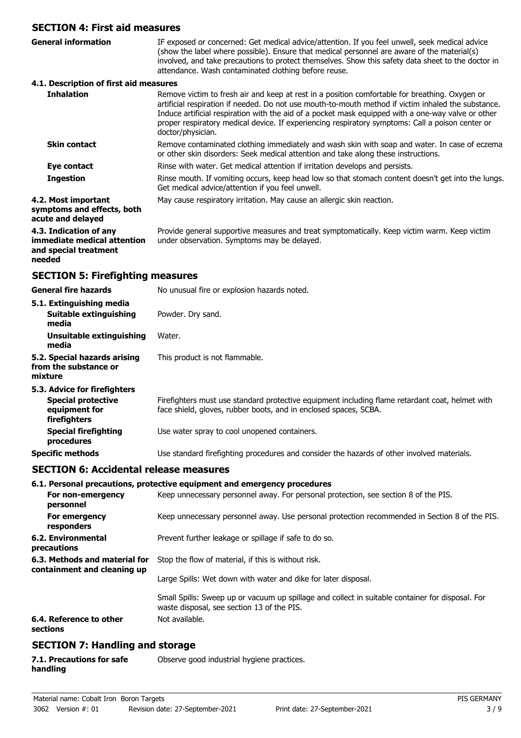# **SECTION 4: First aid measures**

| <b>SECTION 4: First aid measures</b>                                                     |                                                                                                                                                                                                                                                                                                                                                                                                                                      |
|------------------------------------------------------------------------------------------|--------------------------------------------------------------------------------------------------------------------------------------------------------------------------------------------------------------------------------------------------------------------------------------------------------------------------------------------------------------------------------------------------------------------------------------|
| <b>General information</b>                                                               | IF exposed or concerned: Get medical advice/attention. If you feel unwell, seek medical advice<br>(show the label where possible). Ensure that medical personnel are aware of the material(s)<br>involved, and take precautions to protect themselves. Show this safety data sheet to the doctor in<br>attendance. Wash contaminated clothing before reuse.                                                                          |
| 4.1. Description of first aid measures                                                   |                                                                                                                                                                                                                                                                                                                                                                                                                                      |
| <b>Inhalation</b>                                                                        | Remove victim to fresh air and keep at rest in a position comfortable for breathing. Oxygen or<br>artificial respiration if needed. Do not use mouth-to-mouth method if victim inhaled the substance.<br>Induce artificial respiration with the aid of a pocket mask equipped with a one-way valve or other<br>proper respiratory medical device. If experiencing respiratory symptoms: Call a poison center or<br>doctor/physician. |
| <b>Skin contact</b>                                                                      | Remove contaminated clothing immediately and wash skin with soap and water. In case of eczema<br>or other skin disorders: Seek medical attention and take along these instructions.                                                                                                                                                                                                                                                  |
| Eye contact                                                                              | Rinse with water. Get medical attention if irritation develops and persists.                                                                                                                                                                                                                                                                                                                                                         |
| <b>Ingestion</b>                                                                         | Rinse mouth. If vomiting occurs, keep head low so that stomach content doesn't get into the lungs.<br>Get medical advice/attention if you feel unwell.                                                                                                                                                                                                                                                                               |
| 4.2. Most important<br>symptoms and effects, both<br>acute and delayed                   | May cause respiratory irritation. May cause an allergic skin reaction.                                                                                                                                                                                                                                                                                                                                                               |
| 4.3. Indication of any<br>immediate medical attention<br>and special treatment<br>needed | Provide general supportive measures and treat symptomatically. Keep victim warm. Keep victim<br>under observation. Symptoms may be delayed.                                                                                                                                                                                                                                                                                          |
| <b>SECTION 5: Firefighting measures</b>                                                  |                                                                                                                                                                                                                                                                                                                                                                                                                                      |
| <b>General fire hazards</b>                                                              | No unusual fire or explosion hazards noted.                                                                                                                                                                                                                                                                                                                                                                                          |
| 5.1. Extinguishing media<br><b>Suitable extinguishing</b>                                | Powder. Dry sand.                                                                                                                                                                                                                                                                                                                                                                                                                    |

**media 5.2. Special hazards arising** This product is not flammable. **from the substance or mixture 5.3. Advice for firefighters** Firefighters must use standard protective equipment including flame retardant coat, helmet with face shield, gloves, rubber boots, and in enclosed spaces, SCBA. **Special protective equipment for firefighters Special firefighting** Use water spray to cool unopened containers. **procedures Specific methods** Use standard firefighting procedures and consider the hazards of other involved materials.

## **SECTION 6: Accidental release measures**

**Unsuitable extinguishing** Water.

**media**

## **6.1. Personal precautions, protective equipment and emergency procedures**

| For non-emergency<br>personnel                               |                                                                | Keep unnecessary personnel away. For personal protection, see section 8 of the PIS.                                                            |
|--------------------------------------------------------------|----------------------------------------------------------------|------------------------------------------------------------------------------------------------------------------------------------------------|
| For emergency<br>responders                                  |                                                                | Keep unnecessary personnel away. Use personal protection recommended in Section 8 of the PIS.                                                  |
| 6.2. Environmental<br>precautions                            |                                                                | Prevent further leakage or spillage if safe to do so.                                                                                          |
| 6.3. Methods and material for<br>containment and cleaning up | Stop the flow of material, if this is without risk.            |                                                                                                                                                |
|                                                              | Large Spills: Wet down with water and dike for later disposal. |                                                                                                                                                |
|                                                              |                                                                | Small Spills: Sweep up or vacuum up spillage and collect in suitable container for disposal. For<br>waste disposal, see section 13 of the PIS. |
| 6.4. Reference to other<br>sections                          |                                                                | Not available.                                                                                                                                 |

## **SECTION 7: Handling and storage**

| 7.1. Precautions for safe | Observe good industrial hygiene practices. |
|---------------------------|--------------------------------------------|
| handling                  |                                            |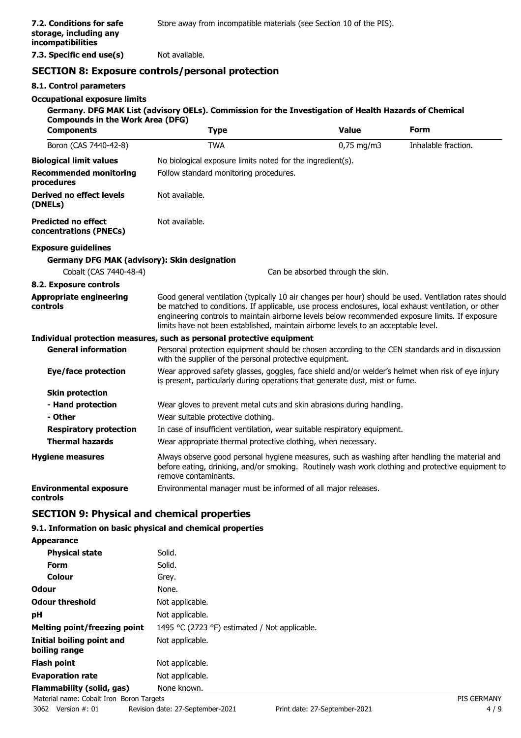**7.3. Specific end use(s)** Not available.

# **SECTION 8: Exposure controls/personal protection**

## **8.1. Control parameters**

## **Occupational exposure limits**

## **Germany. DFG MAK List (advisory OELs). Commission for the Investigation of Health Hazards of Chemical Compounds in the Work Area (DFG)**

| <b>Components</b>                                    | <b>Type</b>                                                                                                                                                                                                                                                                                                                                                                                            | <b>Value</b>                      | <b>Form</b>         |
|------------------------------------------------------|--------------------------------------------------------------------------------------------------------------------------------------------------------------------------------------------------------------------------------------------------------------------------------------------------------------------------------------------------------------------------------------------------------|-----------------------------------|---------------------|
| Boron (CAS 7440-42-8)                                | <b>TWA</b>                                                                                                                                                                                                                                                                                                                                                                                             | $0,75$ mg/m3                      | Inhalable fraction. |
| <b>Biological limit values</b>                       | No biological exposure limits noted for the ingredient(s).                                                                                                                                                                                                                                                                                                                                             |                                   |                     |
| <b>Recommended monitoring</b><br>procedures          | Follow standard monitoring procedures.                                                                                                                                                                                                                                                                                                                                                                 |                                   |                     |
| <b>Derived no effect levels</b><br>(DNELs)           | Not available.                                                                                                                                                                                                                                                                                                                                                                                         |                                   |                     |
| <b>Predicted no effect</b><br>concentrations (PNECs) | Not available.                                                                                                                                                                                                                                                                                                                                                                                         |                                   |                     |
| <b>Exposure guidelines</b>                           |                                                                                                                                                                                                                                                                                                                                                                                                        |                                   |                     |
| <b>Germany DFG MAK (advisory): Skin designation</b>  |                                                                                                                                                                                                                                                                                                                                                                                                        |                                   |                     |
| Cobalt (CAS 7440-48-4)                               |                                                                                                                                                                                                                                                                                                                                                                                                        | Can be absorbed through the skin. |                     |
| 8.2. Exposure controls                               |                                                                                                                                                                                                                                                                                                                                                                                                        |                                   |                     |
| <b>Appropriate engineering</b><br>controls           | Good general ventilation (typically 10 air changes per hour) should be used. Ventilation rates should<br>be matched to conditions. If applicable, use process enclosures, local exhaust ventilation, or other<br>engineering controls to maintain airborne levels below recommended exposure limits. If exposure<br>limits have not been established, maintain airborne levels to an acceptable level. |                                   |                     |
|                                                      | Individual protection measures, such as personal protective equipment                                                                                                                                                                                                                                                                                                                                  |                                   |                     |
| <b>General information</b>                           | Personal protection equipment should be chosen according to the CEN standards and in discussion<br>with the supplier of the personal protective equipment.                                                                                                                                                                                                                                             |                                   |                     |
| Eye/face protection                                  | Wear approved safety glasses, goggles, face shield and/or welder's helmet when risk of eye injury<br>is present, particularly during operations that generate dust, mist or fume.                                                                                                                                                                                                                      |                                   |                     |
| <b>Skin protection</b>                               |                                                                                                                                                                                                                                                                                                                                                                                                        |                                   |                     |
| - Hand protection                                    | Wear gloves to prevent metal cuts and skin abrasions during handling.                                                                                                                                                                                                                                                                                                                                  |                                   |                     |
| - Other                                              | Wear suitable protective clothing.                                                                                                                                                                                                                                                                                                                                                                     |                                   |                     |
| <b>Respiratory protection</b>                        | In case of insufficient ventilation, wear suitable respiratory equipment.                                                                                                                                                                                                                                                                                                                              |                                   |                     |
| <b>Thermal hazards</b>                               | Wear appropriate thermal protective clothing, when necessary.                                                                                                                                                                                                                                                                                                                                          |                                   |                     |
| <b>Hygiene measures</b>                              | Always observe good personal hygiene measures, such as washing after handling the material and<br>before eating, drinking, and/or smoking. Routinely wash work clothing and protective equipment to<br>remove contaminants.                                                                                                                                                                            |                                   |                     |
| <b>Environmental exposure</b><br>controls            | Environmental manager must be informed of all major releases.                                                                                                                                                                                                                                                                                                                                          |                                   |                     |

# **SECTION 9: Physical and chemical properties**

## **9.1. Information on basic physical and chemical properties**

**Appearance Physical state** Solid. Form Solid. **Colour** Grey. **Odour** None. **Odour threshold** Not applicable. **pH** Not applicable. **Melting point/freezing point** 1495 °C (2723 °F) estimated / Not applicable. **Initial boiling point and boiling range** Not applicable. **Flash point** Not applicable. **Evaporation rate** Not applicable. **Flammability (solid, gas)** None known.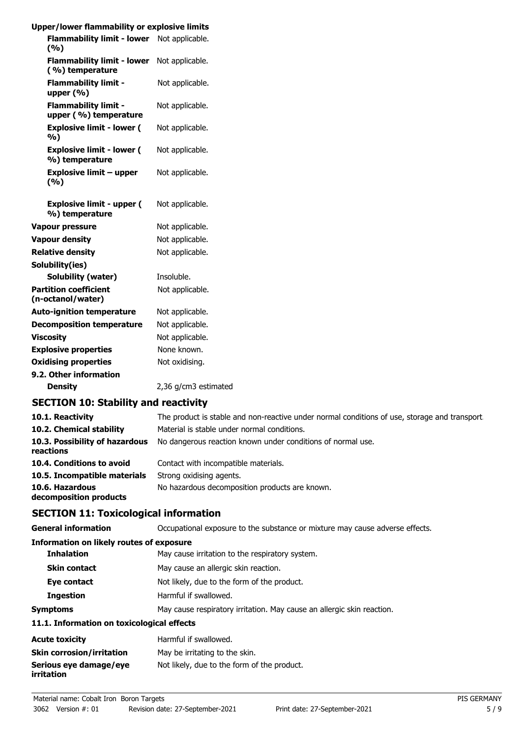| Upper/lower flammability or explosive limits         |                      |
|------------------------------------------------------|----------------------|
| Flammability limit - lower Not applicable.<br>(9/6)  |                      |
| <b>Flammability limit - lower</b><br>(%) temperature | Not applicable.      |
| <b>Flammability limit -</b><br>upper $(\% )$         | Not applicable.      |
| <b>Flammability limit -</b><br>upper (%) temperature | Not applicable.      |
| <b>Explosive limit - lower (</b><br>%)               | Not applicable.      |
| <b>Explosive limit - lower (</b><br>%) temperature   | Not applicable.      |
| <b>Explosive limit - upper</b><br>(%)                | Not applicable.      |
| <b>Explosive limit - upper (</b><br>%) temperature   | Not applicable.      |
| <b>Vapour pressure</b>                               | Not applicable.      |
| <b>Vapour density</b>                                | Not applicable.      |
| <b>Relative density</b>                              | Not applicable.      |
| Solubility(ies)                                      |                      |
| <b>Solubility (water)</b>                            | Insoluble.           |
| <b>Partition coefficient</b><br>(n-octanol/water)    | Not applicable.      |
| <b>Auto-ignition temperature</b>                     | Not applicable.      |
| <b>Decomposition temperature</b>                     | Not applicable.      |
| <b>Viscosity</b>                                     | Not applicable.      |
| <b>Explosive properties</b>                          | None known.          |
| <b>Oxidising properties</b>                          | Not oxidising.       |
| 9.2. Other information                               |                      |
| <b>Density</b>                                       | 2,36 g/cm3 estimated |

## **SECTION 10: Stability and reactivity**

| 10.1. Reactivity                            | The product is stable and non-reactive under normal conditions of use, storage and transport |
|---------------------------------------------|----------------------------------------------------------------------------------------------|
| 10.2. Chemical stability                    | Material is stable under normal conditions.                                                  |
| 10.3. Possibility of hazardous<br>reactions | No dangerous reaction known under conditions of normal use.                                  |
| 10.4. Conditions to avoid                   | Contact with incompatible materials.                                                         |
| 10.5. Incompatible materials                | Strong oxidising agents.                                                                     |
| 10.6. Hazardous<br>decomposition products   | No hazardous decomposition products are known.                                               |

# **SECTION 11: Toxicological information**

**General information CCCUPATION** Occupational exposure to the substance or mixture may cause adverse effects.

## **Information on likely routes of exposure**

| <b>Inhalation</b>   | May cause irritation to the respiratory system.                        |
|---------------------|------------------------------------------------------------------------|
| <b>Skin contact</b> | May cause an allergic skin reaction.                                   |
| Eye contact         | Not likely, due to the form of the product.                            |
| <b>Ingestion</b>    | Harmful if swallowed.                                                  |
| <b>Symptoms</b>     | May cause respiratory irritation. May cause an allergic skin reaction. |
|                     |                                                                        |

## **11.1. Information on toxicological effects**

| <b>Acute toxicity</b>                       | Harmful if swallowed.                       |
|---------------------------------------------|---------------------------------------------|
| <b>Skin corrosion/irritation</b>            | May be irritating to the skin.              |
| Serious eye damage/eye<br><i>irritation</i> | Not likely, due to the form of the product. |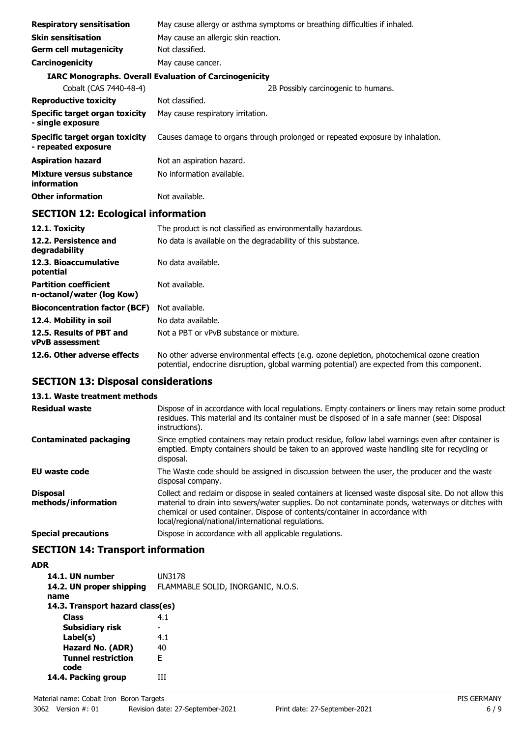| <b>Respiratory sensitisation</b>                      | May cause allergy or asthma symptoms or breathing difficulties if inhaled.    |
|-------------------------------------------------------|-------------------------------------------------------------------------------|
| <b>Skin sensitisation</b>                             | May cause an allergic skin reaction.                                          |
| <b>Germ cell mutagenicity</b>                         | Not classified.                                                               |
| Carcinogenicity                                       | May cause cancer.                                                             |
|                                                       | <b>IARC Monographs. Overall Evaluation of Carcinogenicity</b>                 |
| Cobalt (CAS 7440-48-4)                                | 2B Possibly carcinogenic to humans.                                           |
| <b>Reproductive toxicity</b>                          | Not classified.                                                               |
| Specific target organ toxicity<br>- single exposure   | May cause respiratory irritation.                                             |
| Specific target organ toxicity<br>- repeated exposure | Causes damage to organs through prolonged or repeated exposure by inhalation. |
| <b>Aspiration hazard</b>                              | Not an aspiration hazard.                                                     |
| Mixture versus substance<br>information               | No information available.                                                     |
| <b>Other information</b>                              | Not available.                                                                |
|                                                       |                                                                               |

# **SECTION 12: Ecological information**

| 12.1. Toxicity                                            | The product is not classified as environmentally hazardous.                                                                                                                                |
|-----------------------------------------------------------|--------------------------------------------------------------------------------------------------------------------------------------------------------------------------------------------|
| 12.2. Persistence and<br>degradability                    | No data is available on the degradability of this substance.                                                                                                                               |
| 12.3. Bioaccumulative<br>potential                        | No data available.                                                                                                                                                                         |
| <b>Partition coefficient</b><br>n-octanol/water (log Kow) | Not available.                                                                                                                                                                             |
| <b>Bioconcentration factor (BCF)</b>                      | Not available.                                                                                                                                                                             |
| 12.4. Mobility in soil                                    | No data available.                                                                                                                                                                         |
| 12.5. Results of PBT and<br><b>vPvB</b> assessment        | Not a PBT or vPvB substance or mixture.                                                                                                                                                    |
| 12.6. Other adverse effects                               | No other adverse environmental effects (e.g. ozone depletion, photochemical ozone creation<br>potential, endocrine disruption, global warming potential) are expected from this component. |

# **SECTION 13: Disposal considerations**

# **13.1. Waste treatment methods**

| <b>Residual waste</b>                  | Dispose of in accordance with local regulations. Empty containers or liners may retain some product<br>residues. This material and its container must be disposed of in a safe manner (see: Disposal<br>instructions).                                                                                                                            |
|----------------------------------------|---------------------------------------------------------------------------------------------------------------------------------------------------------------------------------------------------------------------------------------------------------------------------------------------------------------------------------------------------|
| <b>Contaminated packaging</b>          | Since emptied containers may retain product residue, follow label warnings even after container is<br>emptied. Empty containers should be taken to an approved waste handling site for recycling or<br>disposal.                                                                                                                                  |
| EU waste code                          | The Waste code should be assigned in discussion between the user, the producer and the waste<br>disposal company.                                                                                                                                                                                                                                 |
| <b>Disposal</b><br>methods/information | Collect and reclaim or dispose in sealed containers at licensed waste disposal site. Do not allow this<br>material to drain into sewers/water supplies. Do not contaminate ponds, waterways or ditches with<br>chemical or used container. Dispose of contents/container in accordance with<br>local/regional/national/international regulations. |
| <b>Special precautions</b>             | Dispose in accordance with all applicable regulations.                                                                                                                                                                                                                                                                                            |

# **SECTION 14: Transport information**

| <b>ADR</b>                        |                                    |
|-----------------------------------|------------------------------------|
| 14.1. UN number                   | UN3178                             |
| 14.2. UN proper shipping<br>name  | FLAMMABLE SOLID, INORGANIC, N.O.S. |
| 14.3. Transport hazard class(es)  |                                    |
| <b>Class</b>                      | 4.1                                |
| Subsidiary risk                   | -                                  |
| Label(s)                          | 4.1                                |
| Hazard No. (ADR)                  | 40                                 |
| <b>Tunnel restriction</b><br>code | F                                  |
| 14.4. Packing group               | ш                                  |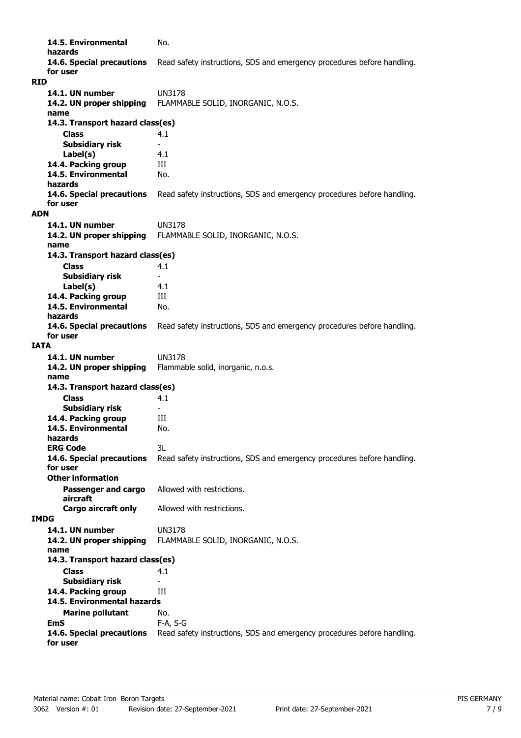**14.5. Environmental** No. **hazards 14.6. Special precautions** Read safety instructions, SDS and emergency procedures before handling. **for user RID 14.1. UN number** UN3178 **14.2. UN proper shipping** FLAMMABLE SOLID, INORGANIC, N.O.S. **name Class** 4.1 **14.3. Transport hazard class(es) Subsidiary risk Label(s)** 4.1 **14.4. Packing group III 14.5. Environmental** No. **hazards 14.6. Special precautions** Read safety instructions, SDS and emergency procedures before handling. **for user ADN 14.1. UN number** UN3178 **14.2. UN proper shipping** FLAMMABLE SOLID, INORGANIC, N.O.S. **name Class** 4.1 **14.3. Transport hazard class(es) Subsidiary risk Label(s)** 4.1 **14.4. Packing group III 14.5. Environmental** No. **hazards 14.6. Special precautions** Read safety instructions, SDS and emergency procedures before handling. **for user IATA 14.1. UN number** UN3178 **14.2. UN proper shipping** Flammable solid, inorganic, n.o.s. **name Class** 4.1 **14.3. Transport hazard class(es) Subsidiary risk 14.4. Packing group III 14.5. Environmental** No. **hazards ERG Code** 3L **14.6. Special precautions** Read safety instructions, SDS and emergency procedures before handling. **for user Passenger and cargo** Allowed with restrictions. **aircraft Other information Cargo aircraft only** Allowed with restrictions. **IMDG 14.1. UN number** UN3178 **14.2. UN proper shipping** FLAMMABLE SOLID, INORGANIC, N.O.S. **name Class** 4.1 **14.3. Transport hazard class(es) Subsidiary risk 14.4. Packing group III Marine pollutant** No. **14.5. Environmental hazards EmS** F-A, S-G 14.6. Special precautions Read safety instructions, SDS and emergency procedures before handling. **for user**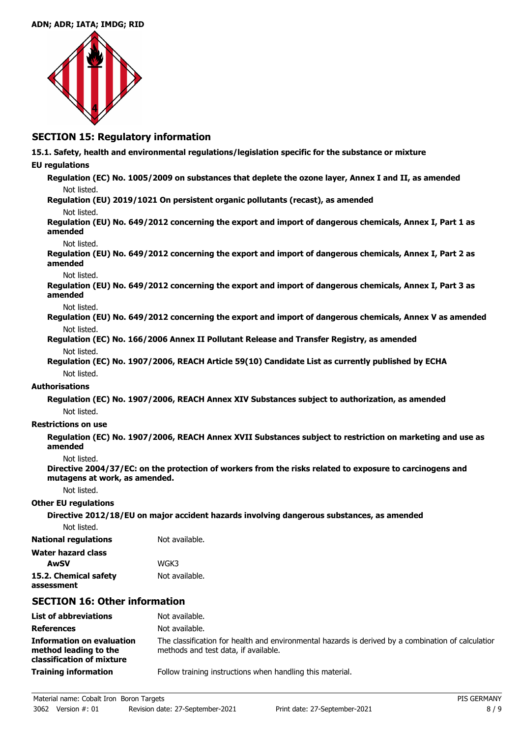## **ADN; ADR; IATA; IMDG; RID**



# **SECTION 15: Regulatory information**

**15.1. Safety, health and environmental regulations/legislation specific for the substance or mixture**

## **EU regulations**

**Regulation (EC) No. 1005/2009 on substances that deplete the ozone layer, Annex I and II, as amended** Not listed.

**Regulation (EU) 2019/1021 On persistent organic pollutants (recast), as amended**

## Not listed.

**Regulation (EU) No. 649/2012 concerning the export and import of dangerous chemicals, Annex I, Part 1 as amended**

### Not listed.

**Regulation (EU) No. 649/2012 concerning the export and import of dangerous chemicals, Annex I, Part 2 as amended**

### Not listed.

**Regulation (EU) No. 649/2012 concerning the export and import of dangerous chemicals, Annex I, Part 3 as amended**

#### Not listed.

**Regulation (EU) No. 649/2012 concerning the export and import of dangerous chemicals, Annex V as amended** Not listed.

- **Regulation (EC) No. 166/2006 Annex II Pollutant Release and Transfer Registry, as amended** Not listed.
- **Regulation (EC) No. 1907/2006, REACH Article 59(10) Candidate List as currently published by ECHA** Not listed.

## **Authorisations**

**Regulation (EC) No. 1907/2006, REACH Annex XIV Substances subject to authorization, as amended** Not listed.

## **Restrictions on use**

**Regulation (EC) No. 1907/2006, REACH Annex XVII Substances subject to restriction on marketing and use as amended**

## Not listed.

**Directive 2004/37/EC: on the protection of workers from the risks related to exposure to carcinogens and mutagens at work, as amended.**

Not listed.

## **Other EU regulations**

**Directive 2012/18/EU on major accident hazards involving dangerous substances, as amended**

| Not listed. |  |
|-------------|--|
|-------------|--|

**National regulations** Not available.

| Water hazard class    |                |
|-----------------------|----------------|
| AwSV                  | WGK3           |
| 15.2. Chemical safety | Not available. |

**assessment**

# **SECTION 16: Other information**

| <b>List of abbreviations</b>                                                           | Not available.                                                                                                                             |
|----------------------------------------------------------------------------------------|--------------------------------------------------------------------------------------------------------------------------------------------|
| <b>References</b>                                                                      | Not available.                                                                                                                             |
| <b>Information on evaluation</b><br>method leading to the<br>classification of mixture | The classification for health and environmental hazards is derived by a combination of calculatior<br>methods and test data, if available. |
| <b>Training information</b>                                                            | Follow training instructions when handling this material.                                                                                  |